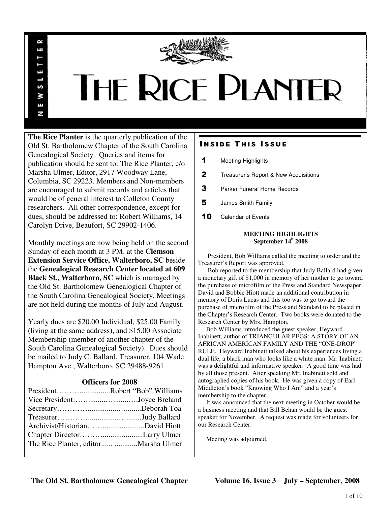

# THE RICE PLANTER

**The Rice Planter** is the quarterly publication of the Old St. Bartholomew Chapter of the South Carolina Genealogical Society. Queries and items for publication should be sent to: The Rice Planter, c/o Marsha Ulmer, Editor, 2917 Woodway Lane, Columbia, SC 29223. Members and Non-members are encouraged to submit records and articles that would be of general interest to Colleton County researchers. All other correspondence, except for dues, should be addressed to: Robert Williams, 14 Carolyn Drive, Beaufort, SC 29902-1406.

 $\sim$ uń

ш

S š E N

Monthly meetings are now being held on the second Sunday of each month at 3 PM. at the **Clemson Extension Service Office, Walterboro, SC** beside the **Genealogical Research Center located at 609 Black St., Walterboro, SC** which is managed by the Old St. Bartholomew Genealogical Chapter of the South Carolina Genealogical Society. Meetings are not held during the months of July and August.

Yearly dues are \$20.00 Individual, \$25.00 Family (living at the same address), and \$15.00 Associate Membership (member of another chapter of the South Carolina Genealogical Society). Dues should be mailed to Judy C. Ballard, Treasurer, 104 Wade Hampton Ave., Walterboro, SC 29488-9261.

# **Officers for 2008**

| PresidentRobert "Bob" Williams |  |
|--------------------------------|--|
| Vice PresidentJoyce Breland    |  |
|                                |  |
|                                |  |
|                                |  |
|                                |  |
|                                |  |
|                                |  |

# **INSIDE THIS ISSUE**

- 1 Meeting Highlights
- 2 Treasurer's Report & New Acquisitions
- **3** Parker Funeral Home Records
- 5 James Smith Family
- 10 Calendar of Events

# **MEETING HIGHLIGHTS September 14<sup>h</sup> 2008**

 President, Bob Williams called the meeting to order and the Treasurer's Report was approved.

 Bob reported to the membership that Judy Ballard had given a monetary gift of \$1,000 in memory of her mother to go toward the purchase of microfilm of the Press and Standard Newspaper. David and Bobbie Hiott made an additional contribution in memory of Doris Lucas and this too was to go toward the purchase of microfilm of the Press and Standard to be placed in the Chapter's Research Center. Two books were donated to the Research Center by Mrs. Hampton.

 Bob Williams introduced the guest speaker, Heyward Inabinett, author of TRIANGULAR PEGS: A STORY OF AN AFRICAN AMERICAN FAMILY AND THE "ONE-DROP" RULE. Heyward Inabinett talked about his experiences living a dual life, a black man who looks like a white man. Mr. Inabinett was a delightful and informative speaker. A good time was had by all those present. After speaking Mr. Inabinett sold and autographed copies of his book. He was given a copy of Earl Middleton's book "Knowing Who I Am" and a year's membership to the chapter.

 It was announced that the next meeting in October would be a business meeting and that Bill Behan would be the guest speaker for November. A request was made for volunteers for our Research Center.

Meeting was adjourned.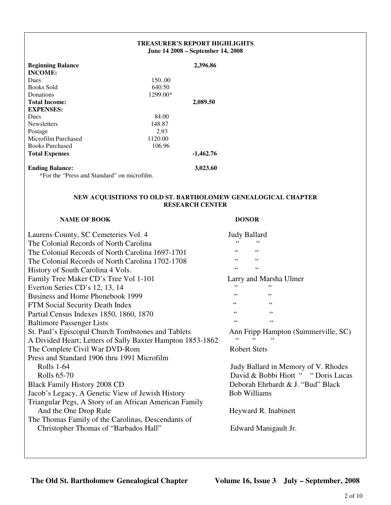| <b>TREASURER'S REPORT HIGHLIGHTS</b><br>June 14 2008 – September 14, 2008 |                                             |  |
|---------------------------------------------------------------------------|---------------------------------------------|--|
|                                                                           | 2,396.86                                    |  |
|                                                                           |                                             |  |
| 150.00                                                                    |                                             |  |
| 640.50                                                                    |                                             |  |
| 1299.00*                                                                  |                                             |  |
|                                                                           | 2,089.50                                    |  |
|                                                                           |                                             |  |
| 84.00                                                                     |                                             |  |
| 148.87                                                                    |                                             |  |
| 2.93                                                                      |                                             |  |
| 1120.00                                                                   |                                             |  |
| 106.96                                                                    |                                             |  |
|                                                                           | $-1,462.76$                                 |  |
|                                                                           | 3,023.60                                    |  |
|                                                                           | *For the "Press and Standard" on microfilm. |  |

# **NEW ACQUISITIONS TO OLD ST. BARTHOLOMEW GENEALOGICAL CHAPTER RESEARCH CENTER**

# **NAME OF BOOK DONOR**

# Laurens County, SC Cemeteries Vol. 4 The Colonial Records of North Carolina The Colonial Records of North Carolina 1697 The Colonial Records of North Carolina 1702 History of South Carolina 4 Vols. Family Tree Maker CD's Tree Vol 1-101 Everton Series CD's 12, 13, 14 Business and Home Phonebook 1999 FTM Social Security Death Index Partial Census Indexes 1850, 1860, 1870 Baltimore Passenger Lists St. Paul's Episcopal Church Tombstones and A Divided Heart; Letters of Sally Baxter Ham The Complete Civil War DVD-Rom Press and Standard 1906 thru 1991 Microfilm Rolls 1-64 Judy Ballard in Memory of V. Rhodes Rolls 65-70 David & Bobbi Hiott " " Doris Lucas Black Family History 2008 CD Jacob's Legacy, A Genetic View of Jewish H Triangular Pegs, A Story of an African Ameri And the One Drop Rule The Thomas Family of the Carolinas, Descend Christopher Thomas of "Barbados Hall"

|                            | <b>Judy Ballard</b>                 |
|----------------------------|-------------------------------------|
|                            |                                     |
| 7-1701                     | 66<br>66                            |
| 2-1708                     | 66<br>66                            |
|                            | 66<br>66                            |
|                            | Larry and Marsha Ulmer              |
|                            | 66<br>"                             |
|                            | 66<br>66                            |
|                            | 66<br>66                            |
|                            | 66<br>66                            |
|                            | 66<br>66                            |
| Tablets<br>npton 1853-1862 | Ann Fripp Hampton (Summerville, SC) |
|                            | <b>Robert Stets</b>                 |
| ١                          |                                     |
|                            | Judy Ballard in Memory of V. Rhodes |
|                            | David & Bobbi Hiott " "Doris Lucas" |
|                            | Deborah Ehrhardt & J. "Bud" Black   |
| istory                     | <b>Bob Williams</b>                 |
| ican Family                |                                     |
|                            | Heyward R. Inabinett                |
| dants of                   |                                     |
|                            | Edward Manigault Jr.                |
|                            |                                     |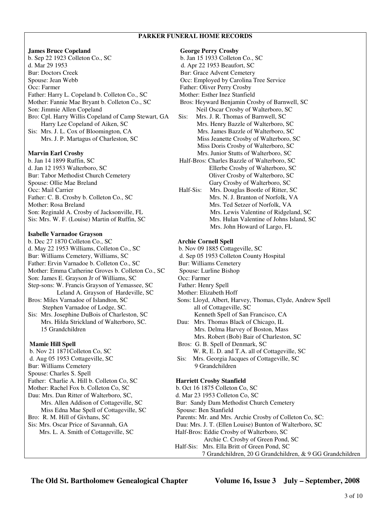# **PARKER FUNERAL HOME RECORDS**

## **James Bruce Copeland George Perry Crosby**

b. Sep 22 1923 Colleton Co., SC b. Jan 15 1933 Colleton Co., SC d. Mar 29 1953 d. Apr 22 1953 Beaufort, SC Bur: Doctors Creek Bur: Grace Advent Cemetery Spouse: Jean Webb **Spouse: Jean Webb Occ: Employed by Carolina Tree Service** Occ: Farmer Father: Oliver Perry Crosby Father: Harry L. Copeland b. Colleton Co., SC Mother: Esther Inez Stanfield Mother: Fannie Mae Bryant b. Colleton Co., SC Bros: Heyward Benjamin Crosby of Barnwell, SC Son: Jimmie Allen Copeland Neil Oscar Crosby of Walterboro, SC Bro: Cpl. Harry Willis Copeland of Camp Stewart, GA Sis: Mrs. J. R. Thomas of Barnwell, SC Harry Lee Copeland of Aiken, SC Mrs. Henry Bazzle of Walterboro, SC Sis: Mrs. J. L. Cox of Bloomington, CA Mrs. James Bazzle of Walterboro, SC Mrs. J. P. Martagus of Charleston, SC Miss Jeanette Crosby of Walterboro, SC

Bur: Tabor Methodist Church Cemetery Oliver Crosby of Walterboro, SC Spouse: Ollie Mae Breland Gary Crosby of Walterboro, SC Mother: Rosa Breland Mrs. Ted Setzer of Norfolk, VA

### **Isabelle Varnadoe Grayson**

b. Dec 27 1870 Colleton Co., SC **Archie Cornell Spell** d. May 22 1953 Williams, Colleton Co., SC b. Nov 09 1885 Cottageville, SC Bur: Williams Cemetery, Williams, SC d. Sep 05 1953 Colleton County Hospital Father: Ervin Varnadoe b. Colleton Co., SC Bur: Williams Cemetery Mother: Emma Catherine Groves b. Colleton Co., SC Spouse: Lurline Bishop Son: James E. Grayson Jr of Williams, SC Occ: Farmer Step-sons: W. Francis Grayson of Yemassee, SC Father: Henry Spell Leland A. Grayson of Hardeville, SC Mother: Elizabeth Hoff Stephen Varnadoe of Lodge, SC. all of Cottageville, SC Sis: Mrs. Josephine DuBois of Charleston, SC Kenneth Spell of San Francisco, CA

Bur: Williams Cemetery 9 Grandchildren Spouse: Charles S. Spell Father: Charlie A. Hill b. Colleton Co, SC **Harriett Crosby Stanfield** Mother: Rachel Fox b. Colleton Co, SC b. Oct 16 1875 Colleton Co, SC Dau: Mrs. Dan Ritter of Walterboro, SC, d. Mar 23 1953 Colleton Co, SC Miss Edna Mae Spell of Cottageville, SC Spouse: Ben Stanfield

 Miss Doris Crosby of Walterboro, SC **Marvin Earl Crosby** Mrs. Junior Stutts of Walterboro, SC b. Jan 14 1899 Ruffin, SC Half-Bros: Charles Bazzle of Walterboro, SC d. Jan 12 1953 Walterboro, SC Ellerbe Crosby of Walterboro, SC Occ: Mail Carrier Half-Sis: Mrs. Douglas Bootle of Ritter, SC Father: C. B. Crosby b. Colleton Co., SC Mrs. N. J. Branton of Norfolk, VA Son: Reginald A. Crosby of Jacksonville, FL Mrs. Lewis Valentine of Ridgeland, SC Sis: Mrs. W. F. (Louise) Martin of Ruffin, SC Mrs. Hulan Valentine of Johns Island, SC Mrs. John Howard of Largo, FL

Bros: Miles Varnadoe of Islandton, SC Sons: Lloyd, Albert, Harvey, Thomas, Clyde, Andrew Spell Mrs. Hilda Strickland of Walterboro, SC. Dau: Mrs. Thomas Black of Chicago, IL 15 Grandchildren Mrs. Delma Harvey of Boston, Mass Mrs. Robert (Bob) Bair of Charleston, SC **Mamie Hill Spell** Bros: G. B. Spell of Denmark, SC b. Nov 21 1871Colleton Co, SC W. R, E. D. and T.A. all of Cottageville, SC d. Aug 05 1953 Cottageville, SC Sis: Mrs. Georgia Jacques of Cottageville, SC Mrs. Allen Addison of Cottageville, SC Bur: Sandy Dam Methodist Church Cemetery Bro: R. M. Hill of Givhans, SC Parents: Mr. and Mrs. Archie Crosby of Colleton Co, SC:

Sis: Mrs. Oscar Price of Savannah, GA Dau: Mrs. J. T. (Ellen Louise) Bunton of Walterboro, SC

 Mrs. L. A. Smith of Cottageville, SC Half-Bros: Eddie Crosby of Walterboro, SC Archie C. Crosby of Green Pond, SC Half-Sis: Mrs. Ella Britt of Green Pond, SC

7 Grandchildren, 20 G Grandchildren, & 9 GG Grandchildren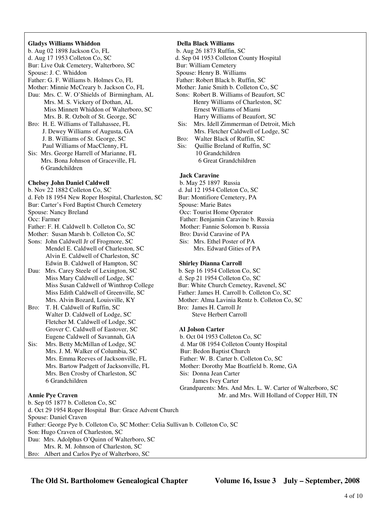## **Gladys Williams Whiddon Della Black Williams**

b. Aug 02 1898 Jackson Co, FL b. Aug 26 1873 Ruffin, SC d. Aug 17 1953 Colleton Co, SC d. Sep 04 1953 Colleton County Hospital Bur: Live Oak Cemetery, Walterboro, SC Bur: William Cemetery Spouse: J. C. Whiddon Spouse: Henry B. Williams Father: G. F. Williams b. Holmes Co, FL Father: Robert Black b. Ruffin, SC Mother: Minnie McCreary b. Jackson Co, FL Mother: Janie Smith b. Colleton Co, SC Dau: Mrs. C. W. O'Shields of Birmingham, AL Sons: Robert B. Williams of Beaufort, SC Mrs. M. S. Vickery of Dothan, AL Henry Williams of Charleston, SC Miss Minnett Whiddon of Walterboro, SC Ernest Williams of Miami Mrs. B. R. Ozbolt of St. George, SC Harry Williams of Beaufort, SC Bro: H. E. Williams of Tallahassee, FL Sis: Mrs. Idell Zimmerman of Detroit, Mich J. B. Williams of St. George, SC Bro: Walter Black of Ruffin, SC Paul Williams of MacClenny, FL Sis: Quillie Breland of Ruffin, SC Sis: Mrs. George Harrell of Marianne, FL 10 Grandchildren Mrs. Bona Johnson of Graceville, FL 6 Great Grandchildren 6 Grandchildren

# **Chelsey John Daniel Caldwell** b. May 25 1897 Russia

d. Feb 18 1954 New Roper Hospital, Charleston, SC Bur: Montifiore Cemetery, PA

Bur: Carter's Ford Baptist Church Cemetery Spouse: Marie Bates

Mother: Susan Marsh b. Colleton Co, SC Bro: David Caravine of PA

Sons: John Caldwell Jr of Frogmore, SC Sis: Mrs. Ethel Poster of PA Mendel E. Caldwell of Charleston, SC Mrs. Edward Gities of PA Alvin E. Caldwell of Charleston, SC Edwin B. Caldwell of Hampton, SC **Shirley Dianna Carroll**

Dau: Mrs. Carey Steele of Lexington, SC b. Sep 16 1954 Colleton Co, SC Miss Mary Caldwell of Lodge, SC d. Sep 21 1954 Colleton Co, SC Miss Susan Caldwell of Winthrop College Bur: White Church Cemetey, Ravenel, SC

Bro: T. H. Caldwell of Ruffin, SC Bro: James H. Carroll Jr Walter D. Caldwell of Lodge, SC Steve Herbert Carroll Fletcher M. Caldwell of Lodge, SC Grover C. Caldwell of Eastover, SC **Al Jolson Carter** Eugene Caldwell of Savannah, GA b. Oct 04 1953 Colleton Co, SC

Sis: Mrs. Betty McMillan of Lodge, SC d. Mar 08 1954 Colleton County Hospital Mrs. J. M. Walker of Columbia, SC Bur: Bedon Baptist Church Mrs. Ben Crosby of Charleston, SC Sis: Donna Jean Carter 6 Grandchildren James Ivey Carter

- J. Dewey Williams of Augusta, GA Mrs. Fletcher Caldwell of Lodge, SC
	-
	-

# **Jack Caravine**

b. Nov 22 1882 Colleton Co, SC d. Jul 12 1954 Colleton Co, SC Spouse: Nancy Breland Occ: Tourist Home Operator Occ: Farmer Father: Benjamin Caravine b. Russia Father: F. H. Caldwell b. Colleton Co, SC Mother: Fannie Solomon b. Russia

Miss Edith Caldwell of Greenville, SC Father: James H. Carroll b. Colleton Co, SC Mrs. Alvin Bozard, Louisville, KY Mother: Alma Lavinia Rentz b. Colleton Co, SC

Mrs. Emma Reeves of Jacksonville, FL Father: W. B. Carter b. Colleton Co, SC Mrs. Bartow Padgett of Jacksonville, FL Mother: Dorothy Mae Boatfield b. Rome, GA Grandparents: Mrs. And Mrs. L. W. Carter of Walterboro, SC

**Annie Pye Craven Mr.** and Mrs. Will Holland of Copper Hill, TN b. Sep 05 1877 b. Colleton Co, SC d. Oct 29 1954 Roper Hospital Bur: Grace Advent Church Spouse: Daniel Craven Father: George Pye b. Colleton Co, SC Mother: Celia Sullivan b. Colleton Co, SC Son: Hugo Craven of Charleston, SC Dau: Mrs. Adolphus O'Quinn of Walterboro, SC Mrs. R. M. Johnson of Charleston, SC Bro: Albert and Carlos Pye of Walterboro, SC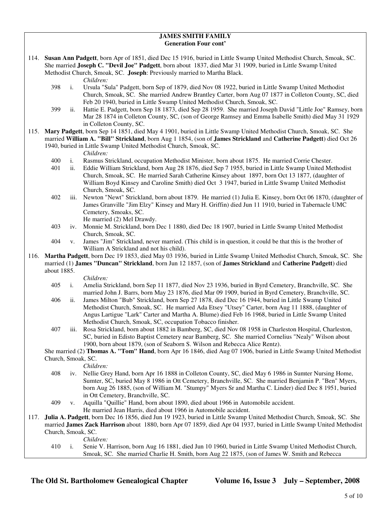# **JAMES SMITH FAMILY Generation Four cont'**

114. **Susan Ann Padgett**, born Apr of 1851, died Dec 15 1916, buried in Little Swamp United Methodist Church, Smoak, SC. She married **Joseph C. "Devil Joe" Padgett**, born about 1837, died Mar 31 1909, buried in Little Swamp United Methodist Church, Smoak, SC. **Joseph**: Previously married to Martha Black.

*Children:*

- 398 i. Ursula "Sula" Padgett, born Sep of 1879, died Nov 08 1922, buried in Little Swamp United Methodist Church, Smoak, SC. She married Andrew Brantley Carter, born Aug 07 1877 in Colleton County, SC, died Feb 20 1940, buried in Little Swamp United Methodist Church, Smoak, SC.
- 399 ii. Hattie E. Padgett, born Sep 18 1873, died Sep 28 1959. She married Joseph David "Little Joe" Ramsey, born Mar 28 1874 in Colleton County, SC, (son of George Ramsey and Emma Isabelle Smith) died May 31 1929 in Colleton County, SC.
- 115. **Mary Padgett**, born Sep 14 1851, died May 4 1901, buried in Little Swamp United Methodist Church, Smoak, SC. She married **William A. "Bill" Strickland**, born Aug 1 1854, (son of **James Strickland** and **Catherine Padgett**) died Oct 26 1940, buried in Little Swamp United Methodist Church, Smoak, SC.

*Children:*

- 400 i. Rasmus Strickland, occupation Methodist Minister, born about 1875. He married Corrie Chester.
- 401 ii. Eddie William Strickland, born Aug 28 1876, died Sep 7 1955, buried in Little Swamp United Methodist Church, Smoak, SC. He married Sarah Catherine Kinsey about 1897, born Oct 13 1877, (daughter of William Boyd Kinsey and Caroline Smith) died Oct 3 1947, buried in Little Swamp United Methodist Church, Smoak, SC.
- 402 iii. Newton "Newt" Strickland, born about 1879. He married (1) Julia E. Kinsey, born Oct 06 1870, (daughter of James Granville "Jim Elzy" Kinsey and Mary H. Griffin) died Jun 11 1910, buried in Tabernacle UMC Cemetery, Smoaks, SC.

He married (2) Mel Drawdy.

- 403 iv. Monnie M. Strickland, born Dec 1 1880, died Dec 18 1907, buried in Little Swamp United Methodist Church, Smoak, SC.
- 404 v. James "Jim" Strickland, never married. (This child is in question, it could be that this is the brother of William A Strickland and not his child).
- 116. **Martha Padgett**, born Dec 19 1853, died May 03 1936, buried in Little Swamp United Methodist Church, Smoak, SC. She married (1) **James "Duncan" Strickland**, born Jun 12 1857, (son of **James Strickland** and **Catherine Padgett**) died about 1885.

*Children:*

- 405 i. Amelia Strickland, born Sep 11 1877, died Nov 23 1936, buried in Byrd Cemetery, Branchville, SC. She married John J. Barrs, born May 23 1876, died Mar 09 1909, buried in Byrd Cemetery, Branchville, SC.
- 406 ii. James Milton "Bub" Strickland, born Sep 27 1878, died Dec 16 1944, buried in Little Swamp United Methodist Church, Smoak, SC. He married Ada Etsey "Utsey" Carter, born Aug 11 1888, (daughter of Angus Lartigue "Lark" Carter and Martha A. Blume) died Feb 16 1968, buried in Little Swamp United Methodist Church, Smoak, SC, occupation Tobacco finisher.
- 407 iii. Rosa Strickland, born about 1882 in Bamberg, SC, died Nov 08 1958 in Charleston Hospital, Charleston, SC, buried in Edisto Baptist Cemetery near Bamberg, SC. She married Cornelius "Nealy" Wilson about 1900, born about 1879, (son of Seaborn S. Wilson and Rebecca Alice Rentz).

 She married (2) **Thomas A. "Tom" Hand**, born Apr 16 1846, died Aug 07 1906, buried in Little Swamp United Methodist Church, Smoak, SC.

*Children:*

- 408 iv. Nellie Grey Hand, born Apr 16 1888 in Colleton County, SC, died May 6 1986 in Sumter Nursing Home, Sumter, SC, buried May 8 1986 in Ott Cemetery, Branchville, SC. She married Benjamin P. "Ben" Myers, born Aug 26 1885, (son of William M. "Stumpy" Myers Sr and Martha C. Linder) died Dec 8 1951, buried in Ott Cemetery, Branchville, SC.
- 409 v. Aquilla "Quillie" Hand, born about 1890, died about 1966 in Automobile accident. He married Jean Harris, died about 1966 in Automobile accident.
- 117. **Julia A. Padgett**, born Dec 16 1856, died Jun 19 1923, buried in Little Swamp United Methodist Church, Smoak, SC. She married **James Zack Harrison** about 1880, born Apr 07 1859, died Apr 04 1937, buried in Little Swamp United Methodist Church, Smoak, SC.

*Children:*

 410 i. Senie V. Harrison, born Aug 16 1881, died Jun 10 1960, buried in Little Swamp United Methodist Church, Smoak, SC. She married Charlie H. Smith, born Aug 22 1875, (son of James W. Smith and Rebecca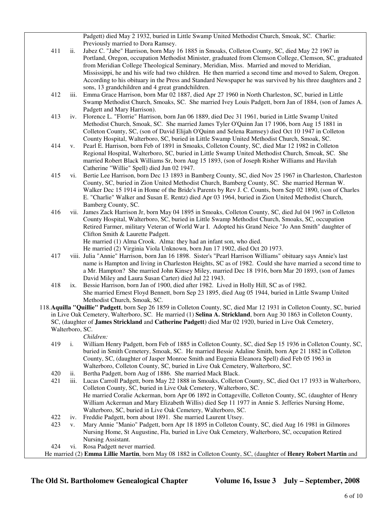Padgett) died May 2 1932, buried in Little Swamp United Methodist Church, Smoak, SC. Charlie: Previously married to Dora Ramsey.

- 411 ii. Jabez C. "Jabe" Harrison, born May 16 1885 in Smoaks, Colleton County, SC, died May 22 1967 in Portland, Oregon, occupation Methodist Minister, graduated from Clemson College, Clemson, SC, graduated from Meridian College Theological Seminary, Meridian, Miss. Married and moved to Meridian, Mississippi, he and his wife had two children. He then married a second time and moved to Salem, Oregon. According to his obituary in the Press and Standard Newspaper he was survived by his three daughters and 2 sons, 13 grandchildren and 4 great grandchildren.
- 412 iii. Emma Grace Harrison, born Mar 02 1887, died Apr 27 1960 in North Charleston, SC, buried in Little Swamp Methodist Church, Smoaks, SC. She married Ivey Louis Padgett, born Jan of 1884, (son of James A. Padgett and Mary Harrison).
- 413 iv. Florence L. "Florrie" Harrison, born Jan 06 1889, died Dec 31 1961, buried in Little Swamp United Methodist Church, Smoak, SC. She married James Tyler O'Quinn Jan 17 1906, born Aug 15 1881 in Colleton County, SC, (son of David Elijah O'Quinn and Selena Ramsey) died Oct 10 1947 in Colleton County Hospital, Walterboro, SC, buried in Little Swamp United Methodist Church, Smoak, SC.
- 414 v. Pearl E. Harrison, born Feb of 1891 in Smoaks, Colleton County, SC, died Mar 12 1982 in Colleton Regional Hospital, Walterboro, SC, buried in Little Swamp United Methodist Church, Smoak, SC. She married Robert Black Williams Sr, born Aug 15 1893, (son of Joseph Risher Williams and Havilah Catherine "Willie" Spell) died Jun 02 1947.
- 415 vi. Bertie Lee Harrison, born Dec 13 1893 in Bamberg County, SC, died Nov 25 1967 in Charleston, Charleston County, SC, buried in Zion United Methodist Church, Bamberg County, SC. She married Herman W. Walker Dec 15 1914 in Home of the Bride's Parents by Rev J. C. Counts, born Sep 02 1890, (son of Charles E. "Charlie" Walker and Susan E. Rentz) died Apr 03 1964, buried in Zion United Methodist Church, Bamberg County, SC.
- 416 vii. James Zack Harrison Jr, born May 04 1895 in Smoaks, Colleton County, SC, died Jul 04 1967 in Colleton County Hospital, Walterboro, SC, buried in Little Swamp Methodist Church, Smoaks, SC, occupation Retired Farmer, military Veteran of World War I. Adopted his Grand Neice "Jo Ann Smith" daughter of Clifton Smith & Laurette Padgett. He married (1) Alma Crook. Alma: they had an infant son, who died.
	- He married (2) Virginia Viola Unknown, born Jun 17 1902, died Oct 20 1973.
- 417 viii. Julia "Annie" Harrison, born Jan 16 1898. Sister's "Pearl Harrison Williams" obituary says Annie's last name is Hampton and living in Charleston Heights, SC as of 1982. Could she have married a second time to a Mr. Hampton? She married John Kinsey Miley, married Dec 18 1916, born Mar 20 1893, (son of James David Miley and Laura Susan Carter) died Jul 22 1943.
- 418 ix. Bessie Harrison, born Jan of 1900, died after 1982. Lived in Holly Hill, SC as of 1982. She married Ernest Floyd Bennett, born Sep 23 1895, died Aug 05 1944, buried in Little Swamp United Methodist Church, Smoak, SC.
- 118.**Aquilla "Quillie" Padgett**, born Sep 26 1859 in Colleton County, SC, died Mar 12 1931 in Colleton County, SC, buried in Live Oak Cemetery, Walterboro, SC. He married (1) **Selina A. Strickland**, born Aug 30 1863 in Colleton County, SC, (daughter of **James Strickland** and **Catherine Padgett**) died Mar 02 1920, buried in Live Oak Cemetery, Walterboro, SC.

*Children:*

- 419 i. William Henry Padgett, born Feb of 1885 in Colleton County, SC, died Sep 15 1936 in Colleton County, SC, buried in Smith Cemetery, Smoak, SC. He married Bessie Adaline Smith, born Apr 21 1882 in Colleton County, SC, (daughter of Jasper Monroe Smith and Eugenia Eleanora Spell) died Feb 05 1963 in Walterboro, Colleton County, SC, buried in Live Oak Cemetery, Walterboro, SC.
- 420 ii. Bertha Padgett, born Aug of 1886. She married Mack Black.
- 421 iii. Lucas Carroll Padgett, born May 22 1888 in Smoaks, Colleton County, SC, died Oct 17 1933 in Walterboro, Colleton County, SC, buried in Live Oak Cemetery, Walterboro, SC. He married Coralie Ackerman, born Apr 06 1892 in Cottageville, Colleton County, SC, (daughter of Henry William Ackerman and Mary Elizabeth Willis) died Sep 11 1977 in Annie S. Jefferies Nursing Home, Walterboro, SC, buried in Live Oak Cemetery, Walterboro, SC.
- 422 iv. Freddie Padgett, born about 1891. She married Laurent Utsey.
- 423 v. Mary Annie "Manio" Padgett, born Apr 18 1895 in Colleton County, SC, died Aug 16 1981 in Gilmores Nursing Home, St Augustine, Fla, buried in Live Oak Cemetery, Walterboro, SC, occupation Retired Nursing Assistant.
- 424 vi. Rosa Padgett never married.

He married (2) **Emma Lillie Martin**, born May 08 1882 in Colleton County, SC, (daughter of **Henry Robert Martin** and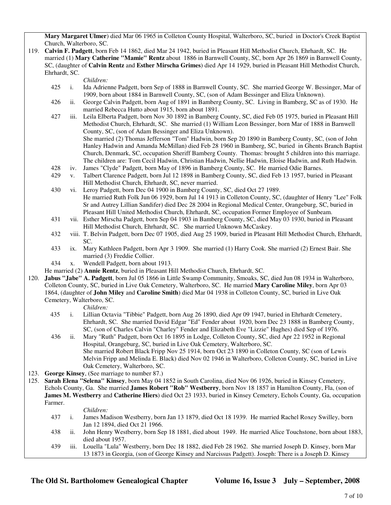**Mary Margaret Ulmer**) died Mar 06 1965 in Colleton County Hospital, Walterboro, SC, buried in Doctor's Creek Baptist Church, Walterboro, SC.

119. **Calvin F. Padgett**, born Feb 14 1862, died Mar 24 1942, buried in Pleasant Hill Methodist Church, Ehrhardt, SC. He married (1) **Mary Catherine "Mamie" Rentz** about 1886 in Barnwell County, SC, born Apr 26 1869 in Barnwell County, SC, (daughter of **Calvin Rentz** and **Esther Mirscha Grimes**) died Apr 14 1929, buried in Pleasant Hill Methodist Church, Ehrhardt, SC.

*Children:*

- 425 i. Ida Adrienne Padgett, born Sep of 1888 in Barnwell County, SC. She married George W. Bessinger, Mar of 1909, born about 1884 in Barnwell County, SC, (son of Adam Bessinger and Eliza Unknown).
- 426 ii. George Calvin Padgett, born Aug of 1891 in Bamberg County, SC. Living in Bamberg, SC as of 1930. He married Rebecca Hutto about 1915, born about 1891.
- 427 iii. Leila Elberta Padgett, born Nov 30 1892 in Bamberg County, SC, died Feb 05 1975, buried in Pleasant Hill Methodist Church, Ehrhardt, SC. She married (1) William Leon Bessinger, born Mar of 1888 in Barnwell County, SC, (son of Adam Bessinger and Eliza Unknown). She married (2) Thomas Jefferson "Tom" Hadwin, born Sep 20 1890 in Bamberg County, SC, (son of John Hanley Hadwin and Amanda McMillan) died Feb 28 1960 in Bamberg, SC, buried in Ghents Branch Baptist Church, Denmark, SC, occupation Sheriff Bamberg County. Thomas: brought 5 children into this marriage. The children are: Tom Cecil Hadwin, Christian Hadwin, Nellie Hadwin, Eloise Hadwin, and Ruth Hadwin.
- 428 iv. James "Clyde" Padgett, born May of 1896 in Bamberg County, SC. He married Odie Barnes.
- 429 v. Talbert Clarence Padgett, born Jul 12 1898 in Bamberg County, SC, died Feb 13 1957, buried in Pleasant Hill Methodist Church, Ehrhardt, SC, never married.
- 430 vi. Leroy Padgett, born Dec 04 1900 in Bamberg County, SC, died Oct 27 1989. He married Ruth Folk Jun 06 1929, born Jul 14 1913 in Colleton County, SC, (daughter of Henry "Lee" Folk Sr and Autrey Lillian Sandifer) died Dec 28 2004 in Regional Medical Center, Orangeburg, SC, buried in Pleasant Hill United Methodist Church, Ehrhardt, SC, occupation Former Employee of Sunbeam.
- 431 vii. Esther Mirscha Padgett, born Sep 04 1903 in Bamberg County, SC, died May 03 1930, buried in Pleasant Hill Methodist Church, Ehrhardt, SC. She married Unknown McCaskey.
- 432 viii. T. Belvin Padgett, born Dec 07 1905, died Aug 25 1909, buried in Pleasant Hill Methodist Church, Ehrhardt, SC.
- 433 ix. Mary Kathleen Padgett, born Apr 3 1909. She married (1) Harry Cook. She married (2) Ernest Bair. She married (3) Freddie Collier.
- 434 x. Wendell Padgett, born about 1913.
- He married (2) **Annie Rentz**, buried in Pleasant Hill Methodist Church, Ehrhardt, SC.
- 120. **Jabus "Jabe" A. Padgett**, born Jul 05 1866 in Little Swamp Community, Smoaks, SC, died Jun 08 1934 in Walterboro, Colleton County, SC, buried in Live Oak Cemetery, Walterboro, SC. He married **Mary Caroline Miley**, born Apr 03 1864, (daughter of **John Miley** and **Caroline Smith**) died Mar 04 1938 in Colleton County, SC, buried in Live Oak Cemetery, Walterboro, SC.

*Children:*

 435 i. Lillian Octavia "Tibbie" Padgett, born Aug 26 1890, died Apr 09 1947, buried in Ehrhardt Cemetery, Ehrhardt, SC. She married David Edgar "Ed" Fender about 1920, born Dec 23 1888 in Bamberg County, SC, (son of Charles Calvin "Charley" Fender and Elizabeth Eve "Lizzie" Hughes) died Sep of 1976.

 436 ii. Mary "Ruth" Padgett, born Oct 16 1895 in Lodge, Colleton County, SC, died Apr 22 1952 in Regional Hospital, Orangeburg, SC, buried in Live Oak Cemetery, Walterboro, SC. She married Robert Black Fripp Nov 25 1914, born Oct 23 1890 in Colleton County, SC (son of Lewis Melvin Fripp and Melinda E. Black) died Nov 02 1946 in Walterboro, Colleton County, SC, buried in Live Oak Cemetery, Walterboro, SC.

- 123. **George Kinsey**, (See marriage to number 87.)
- 125. **Sarah Elena "Selena" Kinsey**, born May 04 1852 in South Carolina, died Nov 06 1926, buried in Kinsey Cemetery, Echols County, Ga. She married **James Robert "Rob" Westberry**, born Nov 18 1857 in Hamilton County, Fla, (son of **James M. Westberry** and **Catherine Hiers**) died Oct 23 1933, buried in Kinsey Cemetery, Echols County, Ga, occupation Farmer.

### *Children:*

- 437 i. James Madison Westberry, born Jan 13 1879, died Oct 18 1939. He married Rachel Roxey Swilley, born Jan 12 1894, died Oct 21 1966.
- 438 ii. John Henry Westberry, born Sep 18 1881, died about 1949. He married Alice Touchstone, born about 1883, died about 1957.
- 439 iii. Louella "Lula" Westberry, born Dec 18 1882, died Feb 28 1962. She married Joseph D. Kinsey, born Mar 13 1873 in Georgia, (son of George Kinsey and Narcissus Padgett). Joseph: There is a Joseph D. Kinsey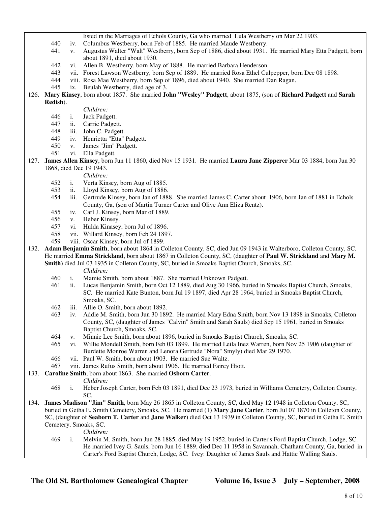- listed in the Marriages of Echols County, Ga who married Lula Westberry on Mar 22 1903.
- 440 iv. Columbus Westberry, born Feb of 1885. He married Maude Westberry.
- 441 v. Augustus Walter "Walt" Westberry, born Sep of 1886, died about 1931. He married Mary Etta Padgett, born about 1891, died about 1930.
- 442 vi. Allen B. Westberry, born May of 1888. He married Barbara Henderson.
- 443 vii. Forest Lawson Westberry, born Sep of 1889. He married Rosa Ethel Culpepper, born Dec 08 1898.
- 444 viii. Rosa Mae Westberry, born Sep of 1896, died about 1940. She married Dan Ragan.
- 445 ix. Beulah Westberry, died age of 3.
- 126. **Mary Kinsey**, born about 1857. She married **John "Wesley" Padgett**, about 1875, (son of **Richard Padgett** and **Sarah Redish**).
	- *Children:*
	- 446 i. Jack Padgett.
	- 447 ii. Carrie Padgett.
	- 448 iii. John C. Padgett.
	- 449 iv. Henrietta "Etta" Padgett.
	- 450 v. James "Jim" Padgett.
	- 451 vi. Ella Padgett.
- 127. **James Allen Kinsey**, born Jun 11 1860, died Nov 15 1931. He married **Laura Jane Zipperer** Mar 03 1884, born Jun 30 1868, died Dec 19 1943.

*Children:*

- 452 i. Verta Kinsey, born Aug of 1885.
- 453 ii. Lloyd Kinsey, born Aug of 1886.
- 454 iii. Gertrude Kinsey, born Jan of 1888. She married James C. Carter about 1906, born Jan of 1881 in Echols County, Ga, (son of Martin Turner Carter and Olive Ann Eliza Rentz).
- 455 iv. Carl J. Kinsey, born Mar of 1889.
- 456 v. Heber Kinsey.
- 457 vi. Hulda Kinasey, born Jul of 1896.
- 458 vii. Willard Kinsey, born Feb 24 1897.
- 459 viii. Oscar Kinsey, born Jul of 1899.
- 132. **Adam Benjamin Smith**, born about 1864 in Colleton County, SC, died Jun 09 1943 in Walterboro, Colleton County, SC. He married **Emma Strickland**, born about 1867 in Colleton County, SC, (daughter of **Paul W. Strickland** and **Mary M. Smith**) died Jul 03 1935 in Colleton County, SC, buried in Smoaks Baptist Church, Smoaks, SC. *Children:*
	-
	- 460 i. Mamie Smith, born about 1887. She married Unknown Padgett.
	- 461 ii. Lucas Benjamin Smith, born Oct 12 1889, died Aug 30 1966, buried in Smoaks Baptist Church, Smoaks, SC. He married Kate Bunton, born Jul 19 1897, died Apr 28 1964, buried in Smoaks Baptist Church, Smoaks, SC.
	- 462 iii. Allie O. Smith, born about 1892.
	- 463 iv. Addie M. Smith, born Jun 30 1892. He married Mary Edna Smith, born Nov 13 1898 in Smoaks, Colleton County, SC, (daughter of James "Calvin" Smith and Sarah Sauls) died Sep 15 1961, buried in Smoaks Baptist Church, Smoaks, SC.
	- 464 v. Minnie Lee Smith, born about 1896, buried in Smoaks Baptist Church, Smoaks, SC.
	- 465 vi. Willie Mondell Smith, born Feb 03 1899. He married Leila Inez Warren, born Nov 25 1906 (daughter of Burdette Monroe Warren and Lenora Gertrude "Nora" Smyly) died Mar 29 1970.
	- 466 vii. Paul W. Smith, born about 1903. He married Sue Waltz.
	- 467 viii. James Rufus Smith, born about 1906. He married Fairey Hiott.
- 133. **Caroline Smith**, born about 1863. She married **Osborn Carter**.
	- *Children:*
	- 468 i. Heber Joseph Carter, born Feb 03 1891, died Dec 23 1973, buried in Williams Cemetery, Colleton County, SC.
- 134. **James Madison "Jim" Smith**, born May 26 1865 in Colleton County, SC, died May 12 1948 in Colleton County, SC, buried in Getha E. Smith Cemetery, Smoaks, SC. He married (1) **Mary Jane Carter**, born Jul 07 1870 in Colleton County, SC, (daughter of **Seaborn T. Carter** and **Jane Walker**) died Oct 13 1939 in Colleton County, SC, buried in Getha E. Smith Cemetery, Smoaks, SC.
	- *Children:*
	- 469 i. Melvin M. Smith, born Jun 28 1885, died May 19 1952, buried in Carter's Ford Baptist Church, Lodge, SC. He married Ivey G. Sauls, born Jun 16 1889, died Dec 11 1958 in Savannah, Chatham County, Ga, buried in Carter's Ford Baptist Church, Lodge, SC. Ivey: Daughter of James Sauls and Hattie Walling Sauls.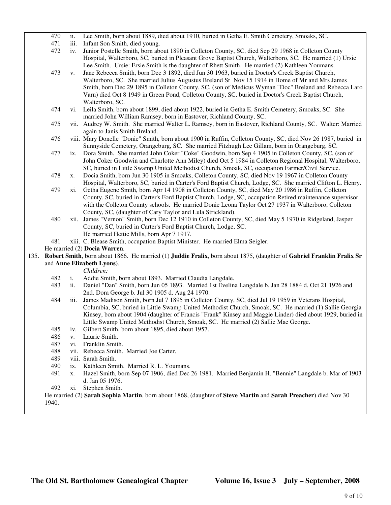|      | 470                        | ii.                        | Lee Smith, born about 1889, died about 1910, buried in Getha E. Smith Cemetery, Smoaks, SC.                                                                            |
|------|----------------------------|----------------------------|------------------------------------------------------------------------------------------------------------------------------------------------------------------------|
|      | 471                        | iii.                       | Infant Son Smith, died young.                                                                                                                                          |
|      | 472                        | iv.                        | Junior Postelle Smith, born about 1890 in Colleton County, SC, died Sep 29 1968 in Colleton County                                                                     |
|      |                            |                            | Hospital, Walterboro, SC, buried in Pleasant Grove Baptist Church, Walterboro, SC. He married (1) Ursie                                                                |
|      |                            |                            | Lee Smith. Ursie: Ersie Smith is the daughter of Rhett Smith. He married (2) Kathleen Youmans.                                                                         |
|      | 473                        | V.                         | Jane Rebecca Smith, born Dec 3 1892, died Jun 30 1963, buried in Doctor's Creek Baptist Church,                                                                        |
|      |                            |                            | Walterboro, SC. She married Julius Augustus Breland Sr Nov 15 1914 in Home of Mr and Mrs James                                                                         |
|      |                            |                            | Smith, born Dec 29 1895 in Colleton County, SC, (son of Medicus Wyman "Doc" Breland and Rebecca Laro                                                                   |
|      |                            |                            | Varn) died Oct 8 1949 in Green Pond, Colleton County, SC, buried in Doctor's Creek Baptist Church,                                                                     |
|      |                            |                            | Walterboro, SC.                                                                                                                                                        |
|      | 474                        | $\overline{\mathbf{v}}$ i. | Leila Smith, born about 1899, died about 1922, buried in Getha E. Smith Cemetery, Smoaks, SC. She                                                                      |
|      |                            |                            | married John William Ramsey, born in Eastover, Richland County, SC.                                                                                                    |
|      | 475                        |                            | vii. Audrey W. Smith. She married Walter L. Ramsey, born in Eastover, Richland County, SC. Walter: Married                                                             |
|      |                            |                            | again to Janis Smith Breland.                                                                                                                                          |
|      | 476                        |                            | viii. Mary Donelle "Donie" Smith, born about 1900 in Ruffin, Colleton County, SC, died Nov 26 1987, buried in                                                          |
|      |                            |                            | Sunnyside Cemetery, Orangeburg, SC. She married Fitzhugh Lee Gillam, born in Orangeburg, SC.                                                                           |
|      | 477                        | ix.                        | Dora Smith. She married John Coker "Coke" Goodwin, born Sep 4 1905 in Colleton County, SC, (son of                                                                     |
|      |                            |                            | John Coker Goodwin and Charlotte Ann Miley) died Oct 5 1984 in Colleton Regional Hospital, Walterboro,                                                                 |
|      |                            |                            | SC, buried in Little Swamp United Methodist Church, Smoak, SC, occupation Farmer/Civil Service.                                                                        |
|      | 478                        | X.                         | Docia Smith, born Jun 30 1905 in Smoaks, Colleton County, SC, died Nov 19 1967 in Colleton County                                                                      |
|      |                            |                            | Hospital, Walterboro, SC, buried in Carter's Ford Baptist Church, Lodge, SC. She married Clifton L. Henry.                                                             |
|      | 479                        | xi.                        | Getha Eugene Smith, born Apr 14 1908 in Colleton County, SC, died May 20 1986 in Ruffin, Colleton                                                                      |
|      |                            |                            | County, SC, buried in Carter's Ford Baptist Church, Lodge, SC, occupation Retired maintenance supervisor                                                               |
|      |                            |                            | with the Colleton County schools. He married Donie Leona Taylor Oct 27 1937 in Walterboro, Colleton                                                                    |
|      | 480                        |                            | County, SC, (daughter of Cary Taylor and Lula Strickland).<br>xii. James "Vernon" Smith, born Dec 12 1910 in Colleton County, SC, died May 5 1970 in Ridgeland, Jasper |
|      |                            |                            | County, SC, buried in Carter's Ford Baptist Church, Lodge, SC.                                                                                                         |
|      |                            |                            | He married Hettie Mills, born Apr 7 1917.                                                                                                                              |
|      | 481                        |                            | xiii. C. Blease Smith, occupation Baptist Minister. He married Elma Seigler.                                                                                           |
|      |                            |                            | He married (2) Docia Warren.                                                                                                                                           |
| 135. |                            |                            | Robert Smith, born about 1866. He married (1) Juddie Fralix, born about 1875, (daughter of Gabriel Franklin Fralix Sr                                                  |
|      |                            |                            |                                                                                                                                                                        |
|      | and Anne Elizabeth Lyons). |                            | Children:                                                                                                                                                              |
|      | 482                        | i.                         | Addie Smith, born about 1893. Married Claudia Langdale.                                                                                                                |
|      | 483                        | ii.                        | Daniel "Dan" Smith, born Jun 05 1893. Married 1st Evelina Langdale b. Jan 28 1884 d. Oct 21 1926 and                                                                   |
|      |                            |                            | 2nd. Dora George b. Jul 30 1905 d. Aug 24 1970.                                                                                                                        |
|      | 484                        | iii.                       | James Madison Smith, born Jul 7 1895 in Colleton County, SC, died Jul 19 1959 in Veterans Hospital,                                                                    |
|      |                            |                            | Columbia, SC, buried in Little Swamp United Methodist Church, Smoak, SC. He married (1) Sallie Georgia                                                                 |
|      |                            |                            | Kinsey, born about 1904 (daughter of Francis "Frank" Kinsey and Maggie Linder) died about 1929, buried in                                                              |
|      |                            |                            | Little Swamp United Methodist Church, Smoak, SC. He married (2) Sallie Mae George.                                                                                     |
|      | 485                        | iv.                        | Gilbert Smith, born about 1895, died about 1957.                                                                                                                       |
|      | 486                        | V.                         | Laurie Smith.                                                                                                                                                          |
|      | 487                        | $\overline{\mathbf{vi}}$ . | Franklin Smith.                                                                                                                                                        |
|      | 488                        |                            | vii. Rebecca Smith. Married Joe Carter.                                                                                                                                |
|      | 489                        |                            | viii. Sarah Smith.                                                                                                                                                     |
|      | 490                        | ix.                        | Kathleen Smith. Married R. L. Youmans.                                                                                                                                 |
|      | 491                        | X.                         | Hazel Smith, born Sep 07 1906, died Dec 26 1981. Married Benjamin H. "Bennie" Langdale b. Mar of 1903                                                                  |
|      |                            |                            | d. Jan 05 1976.                                                                                                                                                        |
|      | 492                        | xi.                        | Stephen Smith.                                                                                                                                                         |
|      |                            |                            | He married (2) Sarah Sophia Martin, born about 1868, (daughter of Steve Martin and Sarah Preacher) died Nov 30                                                         |

1940.